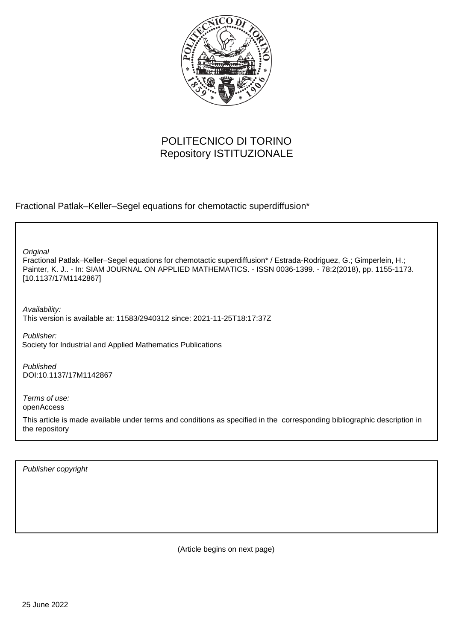

# POLITECNICO DI TORINO Repository ISTITUZIONALE

Fractional Patlak–Keller–Segel equations for chemotactic superdiffusion\*

**Original** 

Fractional Patlak–Keller–Segel equations for chemotactic superdiffusion\* / Estrada-Rodriguez, G.; Gimperlein, H.; Painter, K. J.. - In: SIAM JOURNAL ON APPLIED MATHEMATICS. - ISSN 0036-1399. - 78:2(2018), pp. 1155-1173. [10.1137/17M1142867]

Availability: This version is available at: 11583/2940312 since: 2021-11-25T18:17:37Z

Publisher: Society for Industrial and Applied Mathematics Publications

Published DOI:10.1137/17M1142867

Terms of use: openAccess

This article is made available under terms and conditions as specified in the corresponding bibliographic description in the repository

Publisher copyright

(Article begins on next page)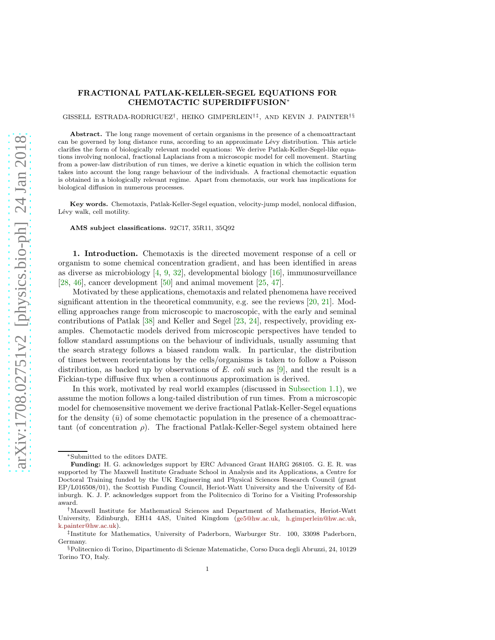### FRACTIONAL PATLAK-KELLER-SEGEL EQUATIONS FOR CHEMOTACTIC SUPERDIFFUSION<sup>∗</sup>

GISSELL ESTRADA-RODRIGUEZ<sup>†</sup>, HEIKO GIMPERLEIN<sup>†‡</sup>, AND KEVIN J. PAINTER<sup>†§</sup>

Abstract. The long range movement of certain organisms in the presence of a chemoattractant can be governed by long distance runs, according to an approximate Lévy distribution. This article clarifies the form of biologically relevant model equations: We derive Patlak-Keller-Segel-like equations involving nonlocal, fractional Laplacians from a microscopic model for cell movement. Starting from a power-law distribution of run times, we derive a kinetic equation in which the collision term takes into account the long range behaviour of the individuals. A fractional chemotactic equation is obtained in a biologically relevant regime. Apart from chemotaxis, our work has implications for biological diffusion in numerous processes.

Key words. Chemotaxis, Patlak-Keller-Segel equation, velocity-jump model, nonlocal diffusion, Lévy walk, cell motility.

AMS subject classifications. 92C17, 35R11, 35Q92

1. Introduction. Chemotaxis is the directed movement response of a cell or organism to some chemical concentration gradient, and has been identified in areas as diverse as microbiology  $[4, 9, 32]$ , developmental biology  $[16]$ , immunosurveillance [28, 46], cancer development [50] and animal movement [25, 47].

Motivated by these applications, chemotaxis and related phenomena have received significant attention in the theoretical community, e.g. see the reviews [20, 21]. Modelling approaches range from microscopic to macroscopic, with the early and seminal contributions of Patlak [38] and Keller and Segel [23, 24], respectively, providing examples. Chemotactic models derived from microscopic perspectives have tended to follow standard assumptions on the behaviour of individuals, usually assuming that the search strategy follows a biased random walk. In particular, the distribution of times between reorientations by the cells/organisms is taken to follow a Poisson distribution, as backed up by observations of E. coli such as  $[9]$ , and the result is a Fickian-type diffusive flux when a continuous approximation is derived.

In this work, motivated by real world examples (discussed in Subsection 1.1), we assume the motion follows a long-tailed distribution of run times. From a microscopic model for chemosensitive movement we derive fractional Patlak-Keller-Segel equations for the density  $(\bar{u})$  of some chemotactic population in the presence of a chemoattractant (of concentration  $\rho$ ). The fractional Patlak-Keller-Segel system obtained here

<sup>∗</sup>Submitted to the editors DATE.

Funding: H. G. acknowledges support by ERC Advanced Grant HARG 268105. G. E. R. was supported by The Maxwell Institute Graduate School in Analysis and its Applications, a Centre for Doctoral Training funded by the UK Engineering and Physical Sciences Research Council (grant EP/L016508/01), the Scottish Funding Council, Heriot-Watt University and the University of Edinburgh. K. J. P. acknowledges support from the Politecnico di Torino for a Visiting Professorship award.

<sup>†</sup>Maxwell Institute for Mathematical Sciences and Department of Mathematics, Heriot-Watt University, Edinburgh, EH14 4AS, United Kingdom [\(ge5@hw.ac.uk,](mailto:ge5@hw.ac.uk) [h.gimperlein@hw.ac.uk,](mailto:h.gimperlein@hw.ac.uk) [k.painter@hw.ac.uk\)](mailto:k.painter@hw.ac.uk).

<sup>‡</sup> Institute for Mathematics, University of Paderborn, Warburger Str. 100, 33098 Paderborn, Germany.

<sup>§</sup>Politecnico di Torino, Dipartimento di Scienze Matematiche, Corso Duca degli Abruzzi, 24, 10129 Torino TO, Italy.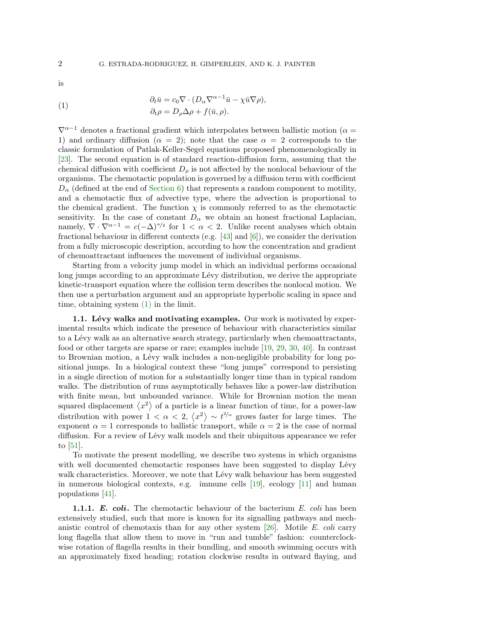is

(1) 
$$
\partial_t \bar{u} = c_0 \nabla \cdot (D_\alpha \nabla^{\alpha-1} \bar{u} - \chi \bar{u} \nabla \rho), \n\partial_t \rho = D_\rho \Delta \rho + f(\bar{u}, \rho).
$$

 $\nabla^{\alpha-1}$  denotes a fractional gradient which interpolates between ballistic motion ( $\alpha =$ 1) and ordinary diffusion ( $\alpha = 2$ ); note that the case  $\alpha = 2$  corresponds to the classic formulation of Patlak-Keller-Segel equations proposed phenomenologically in [23]. The second equation is of standard reaction-diffusion form, assuming that the chemical diffusion with coefficient  $D_{\rho}$  is not affected by the nonlocal behaviour of the organisms. The chemotactic population is governed by a diffusion term with coefficient  $D_{\alpha}$  (defined at the end of Section 6) that represents a random component to motility, and a chemotactic flux of advective type, where the advection is proportional to the chemical gradient. The function  $\chi$  is commonly referred to as the chemotactic sensitivity. In the case of constant  $D_{\alpha}$  we obtain an honest fractional Laplacian, namely,  $\nabla \cdot \nabla^{\alpha-1} = c(-\Delta)^{\alpha/2}$  for  $1 < \alpha < 2$ . Unlike recent analyses which obtain fractional behaviour in different contexts (e.g.  $[43]$  and  $[6]$ ), we consider the derivation from a fully microscopic description, according to how the concentration and gradient of chemoattractant influences the movement of individual organisms.

Starting from a velocity jump model in which an individual performs occasional long jumps according to an approximate Lévy distribution, we derive the appropriate kinetic-transport equation where the collision term describes the nonlocal motion. We then use a perturbation argument and an appropriate hyperbolic scaling in space and time, obtaining system (1) in the limit.

1.1. Lévy walks and motivating examples. Our work is motivated by experimental results which indicate the presence of behaviour with characteristics similar to a L´evy walk as an alternative search strategy, particularly when chemoattractants, food or other targets are sparse or rare; examples include [19, 29, 30, 40]. In contrast to Brownian motion, a Lévy walk includes a non-negligible probability for long positional jumps. In a biological context these "long jumps" correspond to persisting in a single direction of motion for a substantially longer time than in typical random walks. The distribution of runs asymptotically behaves like a power-law distribution with finite mean, but unbounded variance. While for Brownian motion the mean squared displacement  $\langle x^2 \rangle$  of a particle is a linear function of time, for a power-law distribution with power  $1 < \alpha < 2$ ,  $\langle x^2 \rangle \sim t^{2/\alpha}$  grows faster for large times. The exponent  $\alpha = 1$  corresponds to ballistic transport, while  $\alpha = 2$  is the case of normal diffusion. For a review of Lévy walk models and their ubiquitous appearance we refer to [51].

To motivate the present modelling, we describe two systems in which organisms with well documented chemotactic responses have been suggested to display Lévy walk characteristics. Moreover, we note that Lévy walk behaviour has been suggested in numerous biological contexts, e.g. immune cells [19], ecology [11] and human populations [41].

**1.1.1.** E. coli. The chemotactic behaviour of the bacterium E. coli has been extensively studied, such that more is known for its signalling pathways and mechanistic control of chemotaxis than for any other system  $[26]$ . Motile E. coli carry long flagella that allow them to move in "run and tumble" fashion: counterclockwise rotation of flagella results in their bundling, and smooth swimming occurs with an approximately fixed heading; rotation clockwise results in outward flaying, and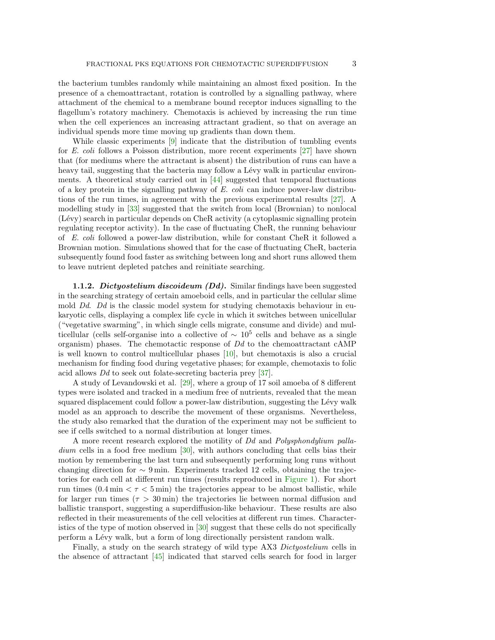the bacterium tumbles randomly while maintaining an almost fixed position. In the presence of a chemoattractant, rotation is controlled by a signalling pathway, where attachment of the chemical to a membrane bound receptor induces signalling to the flagellum's rotatory machinery. Chemotaxis is achieved by increasing the run time when the cell experiences an increasing attractant gradient, so that on average an individual spends more time moving up gradients than down them.

While classic experiments [9] indicate that the distribution of tumbling events for E. coli follows a Poisson distribution, more recent experiments [27] have shown that (for mediums where the attractant is absent) the distribution of runs can have a heavy tail, suggesting that the bacteria may follow a Lévy walk in particular environments. A theoretical study carried out in  $[44]$  suggested that temporal fluctuations of a key protein in the signalling pathway of  $E$ . coli can induce power-law distributions of the run times, in agreement with the previous experimental results [27]. A modelling study in [33] suggested that the switch from local (Brownian) to nonlocal (Lévy) search in particular depends on CheR activity (a cytoplasmic signalling protein regulating receptor activity). In the case of fluctuating CheR, the running behaviour of E. coli followed a power-law distribution, while for constant CheR it followed a Brownian motion. Simulations showed that for the case of fluctuating CheR, bacteria subsequently found food faster as switching between long and short runs allowed them to leave nutrient depleted patches and reinitiate searching.

**1.1.2.** Dictyostelium discoideum  $(Dd)$ . Similar findings have been suggested in the searching strategy of certain amoeboid cells, and in particular the cellular slime mold  $Dd$ .  $Dd$  is the classic model system for studying chemotaxis behaviour in eukaryotic cells, displaying a complex life cycle in which it switches between unicellular ("vegetative swarming", in which single cells migrate, consume and divide) and multicellular (cells self-organise into a collective of  $\sim 10^5$  cells and behave as a single organism) phases. The chemotactic response of  $Dd$  to the chemoattractant cAMP is well known to control multicellular phases [10], but chemotaxis is also a crucial mechanism for finding food during vegetative phases; for example, chemotaxis to folic acid allows Dd to seek out folate-secreting bacteria prey [37].

A study of Levandowski et al. [29], where a group of 17 soil amoeba of 8 different types were isolated and tracked in a medium free of nutrients, revealed that the mean squared displacement could follow a power-law distribution, suggesting the Lévy walk model as an approach to describe the movement of these organisms. Nevertheless, the study also remarked that the duration of the experiment may not be sufficient to see if cells switched to a normal distribution at longer times.

A more recent research explored the motility of Dd and Polysphondylium palladium cells in a food free medium [30], with authors concluding that cells bias their motion by remembering the last turn and subsequently performing long runs without changing direction for  $\sim 9 \text{ min.}$  Experiments tracked 12 cells, obtaining the trajectories for each cell at different run times (results reproduced in Figure 1). For short run times  $(0.4 \text{ min} < \tau < 5 \text{ min})$  the trajectories appear to be almost ballistic, while for larger run times ( $\tau > 30$  min) the trajectories lie between normal diffusion and ballistic transport, suggesting a superdiffusion-like behaviour. These results are also reflected in their measurements of the cell velocities at different run times. Characteristics of the type of motion observed in [30] suggest that these cells do not specifically perform a Lévy walk, but a form of long directionally persistent random walk.

Finally, a study on the search strategy of wild type AX3 Dictyostelium cells in the absence of attractant [45] indicated that starved cells search for food in larger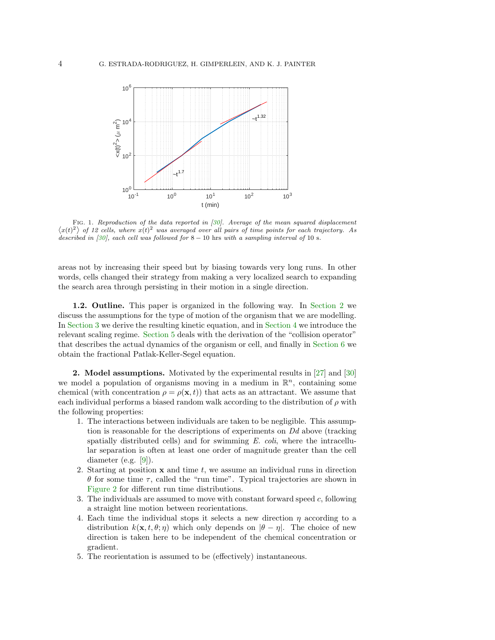

FIG. 1. Reproduction of the data reported in [30]. Average of the mean squared displacement  $\langle x(t)^2 \rangle$  of 12 cells, where  $x(t)^2$  was averaged over all pairs of time points for each trajectory. As described in  $[30]$ , each cell was followed for  $8-10$  hrs with a sampling interval of 10 s.

areas not by increasing their speed but by biasing towards very long runs. In other words, cells changed their strategy from making a very localized search to expanding the search area through persisting in their motion in a single direction.

1.2. Outline. This paper is organized in the following way. In Section 2 we discuss the assumptions for the type of motion of the organism that we are modelling. In Section 3 we derive the resulting kinetic equation, and in Section 4 we introduce the relevant scaling regime. Section 5 deals with the derivation of the "collision operator" that describes the actual dynamics of the organism or cell, and finally in Section 6 we obtain the fractional Patlak-Keller-Segel equation.

2. Model assumptions. Motivated by the experimental results in [27] and [30] we model a population of organisms moving in a medium in  $\mathbb{R}^n$ , containing some chemical (with concentration  $\rho = \rho(\mathbf{x}, t)$ ) that acts as an attractant. We assume that each individual performs a biased random walk according to the distribution of  $\rho$  with the following properties:

- 1. The interactions between individuals are taken to be negligible. This assumption is reasonable for the descriptions of experiments on  $Dd$  above (tracking spatially distributed cells) and for swimming  $E.$  coli, where the intracellular separation is often at least one order of magnitude greater than the cell diameter (e.g. [9]).
- 2. Starting at position  $x$  and time t, we assume an individual runs in direction θ for some time τ, called the "run time". Typical trajectories are shown in Figure 2 for different run time distributions.
- 3. The individuals are assumed to move with constant forward speed c, following a straight line motion between reorientations.
- 4. Each time the individual stops it selects a new direction  $\eta$  according to a distribution  $k(\mathbf{x}, t, \theta; \eta)$  which only depends on  $|\theta - \eta|$ . The choice of new direction is taken here to be independent of the chemical concentration or gradient.
- 5. The reorientation is assumed to be (effectively) instantaneous.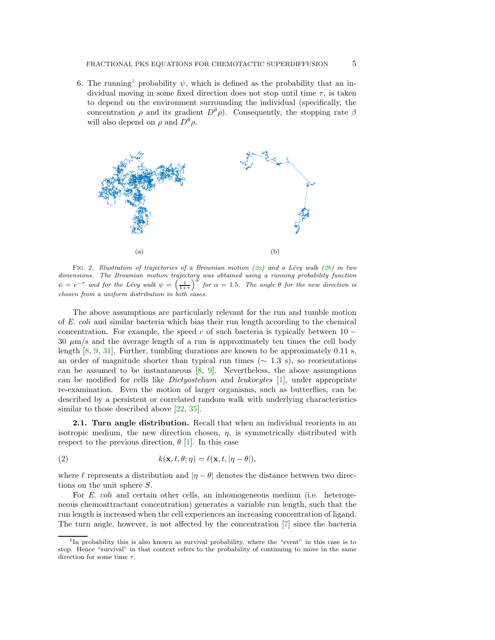6. The running<sup>1</sup> probability  $\psi$ , which is defined as the probability that an individual moving in some fixed direction does not stop until time  $\tau$ , is taken to depend on the environment surrounding the individual (specifically, the concentration  $\rho$  and its gradient  $D^{\theta}\rho$ ). Consequently, the stopping rate  $\beta$ will also depend on  $\rho$  and  $D^{\theta}\rho$ .



FIG. 2. Illustration of trajectories of a Brownian motion (2a) and a Lévy walk (2b) in two dimensions. The Brownian motion trajectory was obtained using a running probability function  $\psi = e^{-\tau}$  and for the Lévy walk  $\psi = \left(\frac{1}{1+\tau}\right)^{\alpha}$  for  $\alpha = 1.5$ . The angle  $\theta$  for the new direction is chosen from a uniform distribution in both cases.

The above assumptions are particularly relevant for the run and tumble motion of E. coli and similar bacteria which bias their run length according to the chemical concentration. For example, the speed c of such bacteria is typically between  $10 30 \mu m/s$  and the average length of a run is approximately ten times the cell body length [8, 9, 31]. Further, tumbling durations are known to be approximately 0.11 s, an order of magnitude shorter than typical run times ( $\sim$  1.3 s), so reorientations can be assumed to be instantaneous [8, 9]. Nevertheless, the above assumptions can be modified for cells like Dictyostelium and leukocytes [1], under appropriate re-examination. Even the motion of larger organisms, such as butterflies, can be described by a persistent or correlated random walk with underlying characteristics similar to those described above [22, 35].

2.1. Turn angle distribution. Recall that when an individual reorients in an isotropic medium, the new direction chosen,  $\eta$ , is symmetrically distributed with respect to the previous direction,  $\theta$  [1]. In this case

(2) 
$$
k(\mathbf{x}, t, \theta; \eta) = \ell(\mathbf{x}, t, |\eta - \theta|),
$$

where  $\ell$  represents a distribution and  $|\eta - \theta|$  denotes the distance between two directions on the unit sphere S.

For E. coli and certain other cells, an inhomogeneous medium (i.e. heterogeneous chemoattractant concentration) generates a variable run length, such that the run length is increased when the cell experiences an increasing concentration of ligand. The turn angle, however, is not affected by the concentration [7] since the bacteria

<sup>&</sup>lt;sup>1</sup>In probability this is also known as survival probability, where the "event" in this case is to stop. Hence "survival" in that context refers to the probability of continuing to move in the same direction for some time  $\tau$ .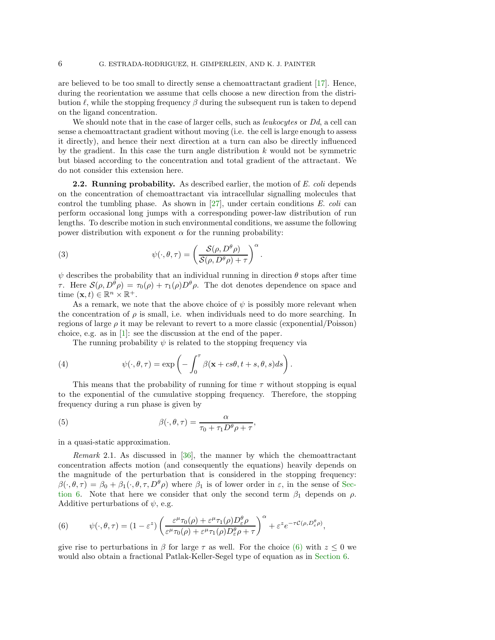are believed to be too small to directly sense a chemoattractant gradient [17]. Hence, during the reorientation we assume that cells choose a new direction from the distribution  $\ell$ , while the stopping frequency  $\beta$  during the subsequent run is taken to depend on the ligand concentration.

We should note that in the case of larger cells, such as *leukocytes* or Dd, a cell can sense a chemoattractant gradient without moving (i.e. the cell is large enough to assess it directly), and hence their next direction at a turn can also be directly influenced by the gradient. In this case the turn angle distribution  $k$  would not be symmetric but biased according to the concentration and total gradient of the attractant. We do not consider this extension here.

**2.2. Running probability.** As described earlier, the motion of E. coli depends on the concentration of chemoattractant via intracellular signalling molecules that control the tumbling phase. As shown in  $[27]$ , under certain conditions E. coli can perform occasional long jumps with a corresponding power-law distribution of run lengths. To describe motion in such environmental conditions, we assume the following power distribution with exponent  $\alpha$  for the running probability:

(3) 
$$
\psi(\cdot,\theta,\tau) = \left(\frac{\mathcal{S}(\rho,D^{\theta}\rho)}{\mathcal{S}(\rho,D^{\theta}\rho)+\tau}\right)^{\alpha}.
$$

 $\psi$  describes the probability that an individual running in direction  $\theta$  stops after time τ. Here  $S(\rho, D^{\theta} \rho) = \tau_0(\rho) + \tau_1(\rho) D^{\theta} \rho$ . The dot denotes dependence on space and time  $(\mathbf{x}, t) \in \mathbb{R}^n \times \mathbb{R}^+$ .

As a remark, we note that the above choice of  $\psi$  is possibly more relevant when the concentration of  $\rho$  is small, i.e. when individuals need to do more searching. In regions of large  $\rho$  it may be relevant to revert to a more classic (exponential/Poisson) choice, e.g. as in [1]: see the discussion at the end of the paper.

The running probability  $\psi$  is related to the stopping frequency via

(4) 
$$
\psi(\cdot,\theta,\tau) = \exp\left(-\int_0^{\tau} \beta(\mathbf{x} + cs\theta, t+s, \theta, s)ds\right).
$$

This means that the probability of running for time  $\tau$  without stopping is equal to the exponential of the cumulative stopping frequency. Therefore, the stopping frequency during a run phase is given by

(5) 
$$
\beta(\cdot,\theta,\tau) = \frac{\alpha}{\tau_0 + \tau_1 D^{\theta} \rho + \tau},
$$

in a quasi-static approximation.

Remark 2.1. As discussed in [36], the manner by which the chemoattractant concentration affects motion (and consequently the equations) heavily depends on the magnitude of the perturbation that is considered in the stopping frequency:  $\beta(\cdot,\theta,\tau) = \beta_0 + \beta_1(\cdot,\theta,\tau,D^{\theta}\rho)$  where  $\beta_1$  is of lower order in  $\varepsilon$ , in the sense of Section 6. Note that here we consider that only the second term  $\beta_1$  depends on  $\rho$ . Additive perturbations of  $\psi$ , e.g.

(6) 
$$
\psi(\cdot,\theta,\tau)=(1-\varepsilon^z)\left(\frac{\varepsilon^{\mu}\tau_0(\rho)+\varepsilon^{\mu}\tau_1(\rho)D^{\theta}_{\varepsilon}\rho}{\varepsilon^{\mu}\tau_0(\rho)+\varepsilon^{\mu}\tau_1(\rho)D^{\theta}_{\varepsilon}\rho+\tau}\right)^{\alpha}+\varepsilon^z e^{-\tau C(\rho,D^{\theta}_{\varepsilon}\rho)},
$$

give rise to perturbations in  $\beta$  for large  $\tau$  as well. For the choice (6) with  $z \leq 0$  we would also obtain a fractional Patlak-Keller-Segel type of equation as in Section 6.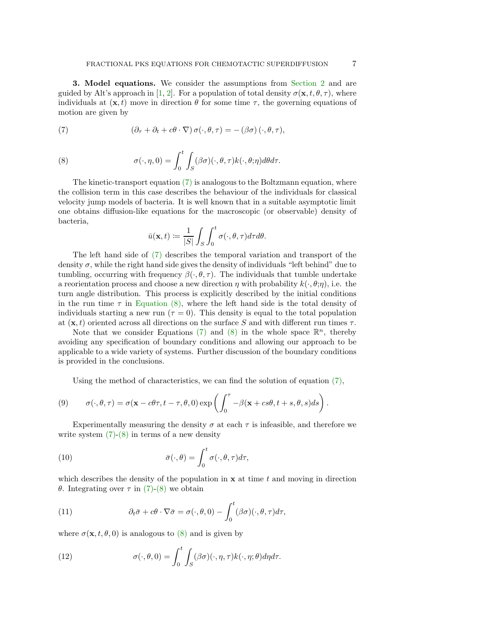3. Model equations. We consider the assumptions from Section 2 and are guided by Alt's approach in [1, 2]. For a population of total density  $\sigma(\mathbf{x}, t, \theta, \tau)$ , where individuals at  $(\mathbf{x}, t)$  move in direction  $\theta$  for some time  $\tau$ , the governing equations of motion are given by

(7) 
$$
(\partial_{\tau} + \partial_t + c\theta \cdot \nabla) \sigma(\cdot, \theta, \tau) = -(\beta \sigma) (\cdot, \theta, \tau),
$$

(8) 
$$
\sigma(\cdot, \eta, 0) = \int_0^t \int_S (\beta \sigma)(\cdot, \theta, \tau) k(\cdot, \theta; \eta) d\theta d\tau.
$$

The kinetic-transport equation (7) is analogous to the Boltzmann equation, where the collision term in this case describes the behaviour of the individuals for classical velocity jump models of bacteria. It is well known that in a suitable asymptotic limit one obtains diffusion-like equations for the macroscopic (or observable) density of bacteria,

$$
\bar{u}(\mathbf{x},t) := \frac{1}{|S|} \int_S \int_0^t \sigma(\cdot,\theta,\tau) d\tau d\theta.
$$

The left hand side of (7) describes the temporal variation and transport of the density  $\sigma$ , while the right hand side gives the density of individuals "left behind" due to tumbling, occurring with frequency  $\beta(\cdot,\theta,\tau)$ . The individuals that tumble undertake a reorientation process and choose a new direction  $\eta$  with probability  $k(\cdot, \theta; \eta)$ , i.e. the turn angle distribution. This process is explicitly described by the initial conditions in the run time  $\tau$  in Equation (8), where the left hand side is the total density of individuals starting a new run ( $\tau = 0$ ). This density is equal to the total population at  $(x, t)$  oriented across all directions on the surface S and with different run times  $\tau$ .

Note that we consider Equations (7) and (8) in the whole space  $\mathbb{R}^n$ , thereby avoiding any specification of boundary conditions and allowing our approach to be applicable to a wide variety of systems. Further discussion of the boundary conditions is provided in the conclusions.

Using the method of characteristics, we can find the solution of equation  $(7)$ ,

(9) 
$$
\sigma(\cdot,\theta,\tau) = \sigma(\mathbf{x}-c\theta\tau,t-\tau,\theta,0)\exp\left(\int_0^{\tau}-\beta(\mathbf{x}+cs\theta,t+s,\theta,s)ds\right).
$$

Experimentally measuring the density  $\sigma$  at each  $\tau$  is infeasible, and therefore we write system  $(7)-(8)$  in terms of a new density

(10) 
$$
\bar{\sigma}(\cdot,\theta) = \int_0^t \sigma(\cdot,\theta,\tau) d\tau,
$$

which describes the density of the population in  $x$  at time  $t$  and moving in direction θ. Integrating over τ in (7)-(8) we obtain

(11) 
$$
\partial_t \bar{\sigma} + c\theta \cdot \nabla \bar{\sigma} = \sigma(\cdot, \theta, 0) - \int_0^t (\beta \sigma)(\cdot, \theta, \tau) d\tau,
$$

where  $\sigma(\mathbf{x}, t, \theta, 0)$  is analogous to  $(8)$  and is given by

(12) 
$$
\sigma(\cdot,\theta,0)=\int_0^t\int_S(\beta\sigma)(\cdot,\eta,\tau)k(\cdot,\eta;\theta)d\eta d\tau.
$$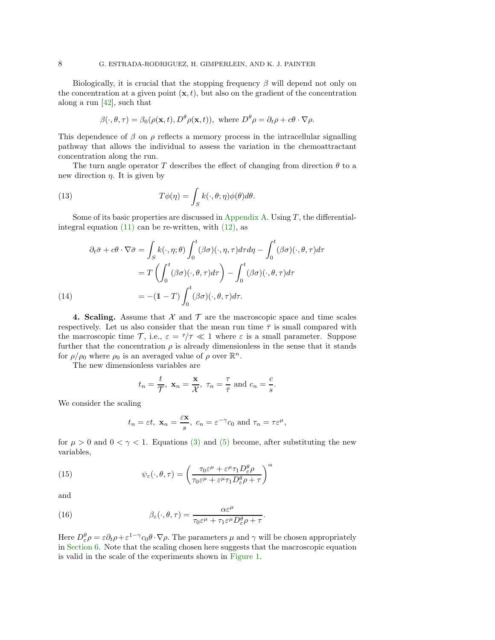Biologically, it is crucial that the stopping frequency  $\beta$  will depend not only on the concentration at a given point  $(x, t)$ , but also on the gradient of the concentration along a run  $[42]$ , such that

$$
\beta(\cdot,\theta,\tau) = \beta_0(\rho(\mathbf{x},t), D^\theta \rho(\mathbf{x},t)), \text{ where } D^\theta \rho = \partial_t \rho + c\theta \cdot \nabla \rho.
$$

This dependence of  $\beta$  on  $\rho$  reflects a memory process in the intracellular signalling pathway that allows the individual to assess the variation in the chemoattractant concentration along the run.

The turn angle operator T describes the effect of changing from direction  $\theta$  to a new direction  $\eta$ . It is given by

(13) 
$$
T\phi(\eta) = \int_{S} k(\cdot,\theta;\eta)\phi(\theta)d\theta.
$$

Some of its basic properties are discussed in Appendix A. Using  $T$ , the differentialintegral equation  $(11)$  can be re-written, with  $(12)$ , as

(14)  
\n
$$
\partial_t \bar{\sigma} + c\theta \cdot \nabla \bar{\sigma} = \int_S k(\cdot, \eta; \theta) \int_0^t (\beta \sigma)(\cdot, \eta, \tau) d\tau d\eta - \int_0^t (\beta \sigma)(\cdot, \theta, \tau) d\tau
$$
\n
$$
= T \left( \int_0^t (\beta \sigma)(\cdot, \theta, \tau) d\tau \right) - \int_0^t (\beta \sigma)(\cdot, \theta, \tau) d\tau
$$
\n
$$
= -(1 - T) \int_0^t (\beta \sigma)(\cdot, \theta, \tau) d\tau.
$$

4. Scaling. Assume that  $\mathcal X$  and  $\mathcal T$  are the macroscopic space and time scales respectively. Let us also consider that the mean run time  $\bar{\tau}$  is small compared with the macroscopic time  $\mathcal{T}$ , i.e.,  $\varepsilon = \bar{\tau}/\tau \ll 1$  where  $\varepsilon$  is a small parameter. Suppose further that the concentration  $\rho$  is already dimensionless in the sense that it stands for  $\rho/\rho_0$  where  $\rho_0$  is an averaged value of  $\rho$  over  $\mathbb{R}^n$ .

The new dimensionless variables are

$$
t_n = \frac{t}{\mathcal{T}}, \mathbf{x}_n = \frac{\mathbf{x}}{\mathcal{X}}, \tau_n = \frac{\tau}{\bar{\tau}} \text{ and } c_n = \frac{c}{s}.
$$

We consider the scaling

$$
t_n = \varepsilon t
$$
,  $\mathbf{x}_n = \frac{\varepsilon \mathbf{x}}{s}$ ,  $c_n = \varepsilon^{-\gamma} c_0$  and  $\tau_n = \tau \varepsilon^{\mu}$ ,

for  $\mu > 0$  and  $0 < \gamma < 1$ . Equations (3) and (5) become, after substituting the new variables,

(15) 
$$
\psi_{\varepsilon}(\cdot,\theta,\tau) = \left(\frac{\tau_0 \varepsilon^{\mu} + \varepsilon^{\mu} \tau_1 D_{\varepsilon}^{\theta} \rho}{\tau_0 \varepsilon^{\mu} + \varepsilon^{\mu} \tau_1 D_{\varepsilon}^{\theta} \rho + \tau}\right)^{\alpha}
$$

and

(16) 
$$
\beta_{\varepsilon}(\cdot,\theta,\tau) = \frac{\alpha \varepsilon^{\mu}}{\tau_0 \varepsilon^{\mu} + \tau_1 \varepsilon^{\mu} D_{\varepsilon}^{\theta} \rho + \tau}.
$$

Here  $D^{\theta}_{\varepsilon} \rho = \varepsilon \partial_t \rho + \varepsilon^{1-\gamma} c_0 \theta \cdot \nabla \rho$ . The parameters  $\mu$  and  $\gamma$  will be chosen appropriately in Section 6. Note that the scaling chosen here suggests that the macroscopic equation is valid in the scale of the experiments shown in Figure 1.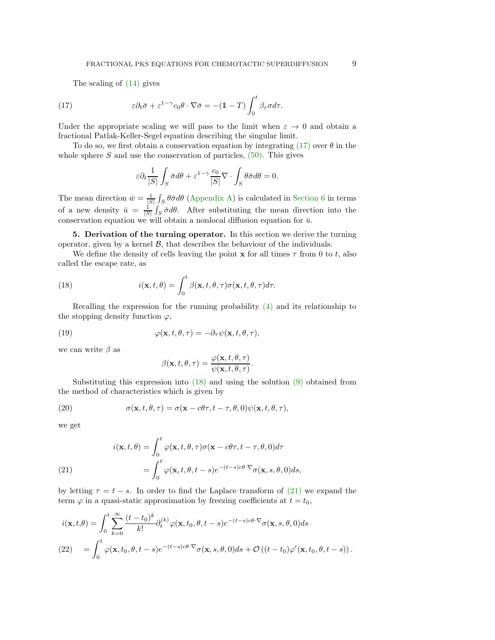The scaling of (14) gives

(17) 
$$
\varepsilon \partial_t \bar{\sigma} + \varepsilon^{1-\gamma} c_0 \theta \cdot \nabla \bar{\sigma} = -(1-T) \int_0^t \beta_{\varepsilon} \sigma d\tau.
$$

Under the appropriate scaling we will pass to the limit when  $\varepsilon \to 0$  and obtain a fractional Patlak-Keller-Segel equation describing the singular limit.

To do so, we first obtain a conservation equation by integrating  $(17)$  over  $\theta$  in the whole sphere  $S$  and use the conservation of particles,  $(50)$ . This gives

$$
\varepsilon \partial_t \frac{1}{|S|} \int_S \bar{\sigma} d\theta + \varepsilon^{1-\gamma} \frac{c_0}{|S|} \nabla \cdot \int_S \theta \bar{\sigma} d\theta = 0.
$$

The mean direction  $\bar{w} = \frac{1}{|S|} \int_S \theta \bar{\sigma} d\theta$  (Appendix A) is calculated in Section 6 in terms of a new density  $\bar{u} = \frac{1}{|S|} \int_S \bar{\sigma} d\theta$ . After substituting the mean direction into the conservation equation we will obtain a nonlocal diffusion equation for  $\bar{u}$ .

5. Derivation of the turning operator. In this section we derive the turning operator, given by a kernel  $\mathcal{B}$ , that describes the behaviour of the individuals.

We define the density of cells leaving the point  $\bf{x}$  for all times  $\tau$  from 0 to t, also called the escape rate, as

(18) 
$$
i(\mathbf{x},t,\theta) = \int_0^t \beta(\mathbf{x},t,\theta,\tau) \sigma(\mathbf{x},t,\theta,\tau) d\tau.
$$

Recalling the expression for the running probability (4) and its relationship to the stopping density function  $\varphi$ ,

(19) 
$$
\varphi(\mathbf{x}, t, \theta, \tau) = -\partial_{\tau} \psi(\mathbf{x}, t, \theta, \tau),
$$

we can write  $\beta$  as

$$
\beta(\mathbf{x},t,\theta,\tau) = \frac{\varphi(\mathbf{x},t,\theta,\tau)}{\psi(\mathbf{x},t,\theta,\tau)}.
$$

Substituting this expression into  $(18)$  and using the solution  $(9)$  obtained from the method of characteristics which is given by

(20) 
$$
\sigma(\mathbf{x}, t, \theta, \tau) = \sigma(\mathbf{x} - c\theta\tau, t - \tau, \theta, 0)\psi(\mathbf{x}, t, \theta, \tau),
$$

we get

(21)  

$$
i(\mathbf{x}, t, \theta) = \int_0^t \varphi(\mathbf{x}, t, \theta, \tau) \sigma(\mathbf{x} - c\theta\tau, t - \tau, \theta, 0) d\tau
$$

$$
= \int_0^t \varphi(\mathbf{x}, t, \theta, t - s) e^{-(t - s)c\theta \cdot \nabla} \sigma(\mathbf{x}, s, \theta, 0) ds,
$$

by letting  $\tau = t - s$ . In order to find the Laplace transform of (21) we expand the term  $\varphi$  in a quasi-static approximation by freezing coefficients at  $t = t_0$ ,

$$
i(\mathbf{x}, t, \theta) = \int_0^t \sum_{k=0}^\infty \frac{(t - t_0)^k}{k!} \partial_t^{(k)} \varphi(\mathbf{x}, t_0, \theta, t - s) e^{-(t - s)c\theta \cdot \nabla} \sigma(\mathbf{x}, s, \theta, 0) ds
$$
  
(22) 
$$
= \int_0^t \varphi(\mathbf{x}, t_0, \theta, t - s) e^{-(t - s)c\theta \cdot \nabla} \sigma(\mathbf{x}, s, \theta, 0) ds + \mathcal{O}\left((t - t_0)\varphi'(\mathbf{x}, t_0, \theta, t - s)\right).
$$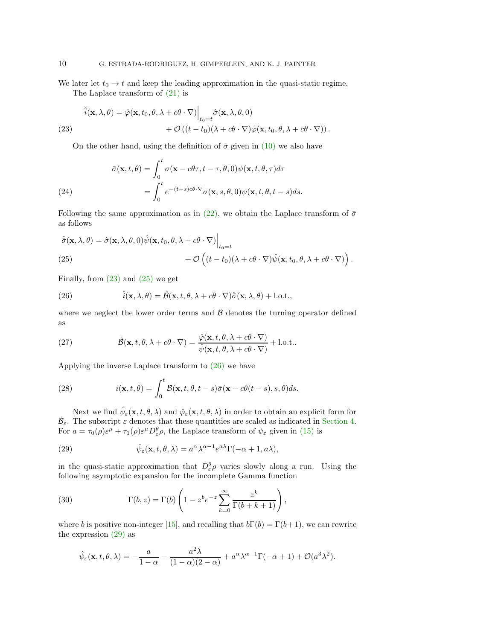We later let  $t_0 \to t$  and keep the leading approximation in the quasi-static regime. The Laplace transform of (21) is

(23)  
\n
$$
\hat{i}(\mathbf{x}, \lambda, \theta) = \hat{\varphi}(\mathbf{x}, t_0, \theta, \lambda + c\theta \cdot \nabla) \Big|_{t_0 = t} \hat{\sigma}(\mathbf{x}, \lambda, \theta, 0) + \mathcal{O}((t - t_0)(\lambda + c\theta \cdot \nabla)\hat{\varphi}(\mathbf{x}, t_0, \theta, \lambda + c\theta \cdot \nabla)).
$$

On the other hand, using the definition of  $\bar{\sigma}$  given in (10) we also have

(24)  
\n
$$
\bar{\sigma}(\mathbf{x}, t, \theta) = \int_0^t \sigma(\mathbf{x} - c\theta\tau, t - \tau, \theta, 0) \psi(\mathbf{x}, t, \theta, \tau) d\tau
$$
\n
$$
= \int_0^t e^{-(t-s)c\theta \cdot \nabla} \sigma(\mathbf{x}, s, \theta, 0) \psi(\mathbf{x}, t, \theta, t - s) ds.
$$

Following the same approximation as in (22), we obtain the Laplace transform of  $\bar{\sigma}$ as follows

$$
\hat{\sigma}(\mathbf{x}, \lambda, \theta) = \hat{\sigma}(\mathbf{x}, \lambda, \theta, 0) \hat{\psi}(\mathbf{x}, t_0, \theta, \lambda + c\theta \cdot \nabla) \Big|_{t_0 = t} + \mathcal{O}\left( (t - t_0)(\lambda + c\theta \cdot \nabla)\hat{\psi}(\mathbf{x}, t_0, \theta, \lambda + c\theta \cdot \nabla) \right).
$$
\n(25)

Finally, from  $(23)$  and  $(25)$  we get

(26) 
$$
\hat{i}(\mathbf{x}, \lambda, \theta) = \hat{\mathcal{B}}(\mathbf{x}, t, \theta, \lambda + c\theta \cdot \nabla)\hat{\sigma}(\mathbf{x}, \lambda, \theta) + \text{l.o.t.},
$$

where we neglect the lower order terms and  $\beta$  denotes the turning operator defined as

(27) 
$$
\hat{\mathcal{B}}(\mathbf{x}, t, \theta, \lambda + c\theta \cdot \nabla) = \frac{\hat{\varphi}(\mathbf{x}, t, \theta, \lambda + c\theta \cdot \nabla)}{\hat{\psi}(\mathbf{x}, t, \theta, \lambda + c\theta \cdot \nabla)} + \text{l.o.t.}.
$$

Applying the inverse Laplace transform to (26) we have

(28) 
$$
i(\mathbf{x}, t, \theta) = \int_0^t \mathcal{B}(\mathbf{x}, t, \theta, t - s) \bar{\sigma}(\mathbf{x} - c\theta(t - s), s, \theta) ds.
$$

Next we find  $\hat{\psi}_{\varepsilon}(\mathbf{x},t,\theta,\lambda)$  and  $\hat{\varphi}_{\varepsilon}(\mathbf{x},t,\theta,\lambda)$  in order to obtain an explicit form for  $\hat{\mathcal{B}}_{\varepsilon}$ . The subscript  $\varepsilon$  denotes that these quantities are scaled as indicated in Section 4. For  $a = \tau_0(\rho)\varepsilon^{\mu} + \tau_1(\rho)\varepsilon^{\mu}D^{\theta}_{\varepsilon}\rho$ , the Laplace transform of  $\psi_{\varepsilon}$  given in (15) is

(29) 
$$
\hat{\psi}_{\varepsilon}(\mathbf{x}, t, \theta, \lambda) = a^{\alpha} \lambda^{\alpha - 1} e^{a\lambda} \Gamma(-\alpha + 1, a\lambda),
$$

in the quasi-static approximation that  $D_{\varepsilon}^{\theta} \rho$  varies slowly along a run. Using the following asymptotic expansion for the incomplete Gamma function

(30) 
$$
\Gamma(b,z) = \Gamma(b) \left( 1 - z^b e^{-z} \sum_{k=0}^{\infty} \frac{z^k}{\Gamma(b+k+1)} \right),
$$

where b is positive non-integer [15], and recalling that  $b\Gamma(b) = \Gamma(b+1)$ , we can rewrite the expression (29) as

$$
\hat{\psi}_{\varepsilon}(\mathbf{x},t,\theta,\lambda) = -\frac{a}{1-\alpha} - \frac{a^2\lambda}{(1-\alpha)(2-\alpha)} + a^{\alpha}\lambda^{\alpha-1}\Gamma(-\alpha+1) + \mathcal{O}(a^3\lambda^2).
$$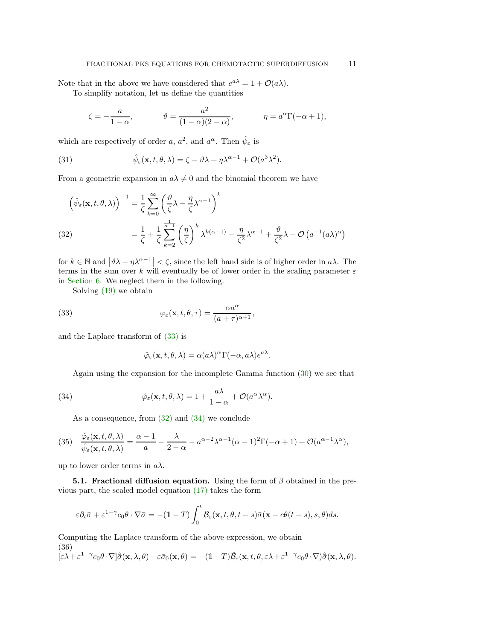Note that in the above we have considered that  $e^{a\lambda} = 1 + \mathcal{O}(a\lambda)$ .

To simplify notation, let us define the quantities

$$
\zeta = -\frac{a}{1-\alpha}, \qquad \qquad \vartheta = \frac{a^2}{(1-\alpha)(2-\alpha)}, \qquad \qquad \eta = a^{\alpha} \Gamma(-\alpha+1),
$$

which are respectively of order a,  $a^2$ , and  $a^{\alpha}$ . Then  $\hat{\psi}_{\varepsilon}$  is

(31) 
$$
\hat{\psi}_{\varepsilon}(\mathbf{x}, t, \theta, \lambda) = \zeta - \vartheta \lambda + \eta \lambda^{\alpha - 1} + \mathcal{O}(a^3 \lambda^2).
$$

From a geometric expansion in  $a\lambda \neq 0$  and the binomial theorem we have

$$
\left(\hat{\psi}_{\varepsilon}(\mathbf{x},t,\theta,\lambda)\right)^{-1} = \frac{1}{\zeta} \sum_{k=0}^{\infty} \left(\frac{\vartheta}{\zeta}\lambda - \frac{\eta}{\zeta}\lambda^{\alpha-1}\right)^k
$$
\n
$$
(32) \qquad \qquad = \frac{1}{\zeta} + \frac{1}{\zeta} \sum_{k=2}^{\frac{1}{\alpha-1}} \left(\frac{\eta}{\zeta}\right)^k \lambda^{k(\alpha-1)} - \frac{\eta}{\zeta^2}\lambda^{\alpha-1} + \frac{\vartheta}{\zeta^2}\lambda + \mathcal{O}\left(a^{-1}(a\lambda)^{\alpha}\right)
$$

for  $k \in \mathbb{N}$  and  $|\vartheta \lambda - \eta \lambda^{\alpha-1}| < \zeta$ , since the left hand side is of higher order in  $a\lambda$ . The terms in the sum over k will eventually be of lower order in the scaling parameter  $\varepsilon$ in Section 6. We neglect them in the following.

Solving (19) we obtain

(33) 
$$
\varphi_{\varepsilon}(\mathbf{x}, t, \theta, \tau) = \frac{\alpha a^{\alpha}}{(a + \tau)^{\alpha + 1}},
$$

and the Laplace transform of (33) is

$$
\hat{\varphi}_{\varepsilon}(\mathbf{x},t,\theta,\lambda) = \alpha(a\lambda)^{\alpha} \Gamma(-\alpha,a\lambda) e^{a\lambda}.
$$

Again using the expansion for the incomplete Gamma function (30) we see that

(34) 
$$
\hat{\varphi}_{\varepsilon}(\mathbf{x}, t, \theta, \lambda) = 1 + \frac{a\lambda}{1 - \alpha} + \mathcal{O}(a^{\alpha} \lambda^{\alpha}).
$$

As a consequence, from  $(32)$  and  $(34)$  we conclude

(35) 
$$
\frac{\hat{\varphi}_{\varepsilon}(\mathbf{x},t,\theta,\lambda)}{\hat{\psi}_{\varepsilon}(\mathbf{x},t,\theta,\lambda)} = \frac{\alpha-1}{a} - \frac{\lambda}{2-\alpha} - a^{\alpha-2}\lambda^{\alpha-1}(\alpha-1)^2\Gamma(-\alpha+1) + \mathcal{O}(a^{\alpha-1}\lambda^{\alpha}),
$$

up to lower order terms in  $a\lambda$ .

**5.1. Fractional diffusion equation.** Using the form of  $\beta$  obtained in the previous part, the scaled model equation (17) takes the form

$$
\varepsilon \partial_t \bar{\sigma} + \varepsilon^{1-\gamma} c_0 \theta \cdot \nabla \bar{\sigma} = -(1-T) \int_0^t \mathcal{B}_\varepsilon(\mathbf{x}, t, \theta, t-s) \bar{\sigma}(\mathbf{x} - c\theta(t-s), s, \theta) ds.
$$

Computing the Laplace transform of the above expression, we obtain (36)  $[\varepsilon \lambda + \varepsilon^{1-\gamma} c_0 \theta \cdot \nabla] \hat{\sigma}(\mathbf{x}, \lambda, \theta) - \varepsilon \bar{\sigma}_0(\mathbf{x}, \theta) = -(1-T) \hat{\mathcal{B}}_{\varepsilon}(\mathbf{x}, t, \theta, \varepsilon \lambda + \varepsilon^{1-\gamma} c_0 \theta \cdot \nabla) \hat{\sigma}(\mathbf{x}, \lambda, \theta).$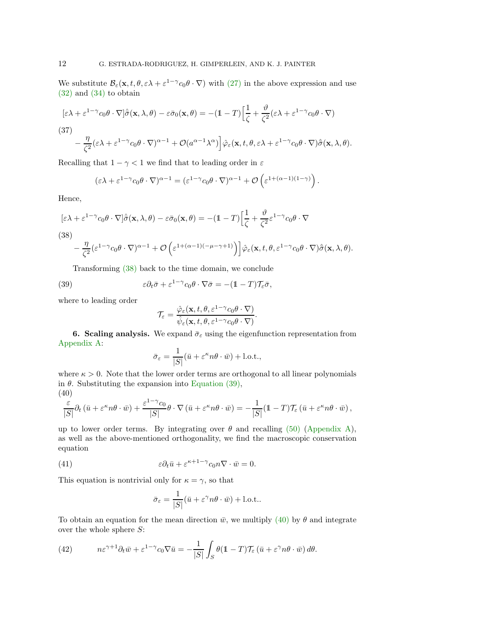We substitute  $\mathcal{B}_{\varepsilon}(\mathbf{x}, t, \theta, \varepsilon \lambda + \varepsilon^{1-\gamma} c_0 \theta \cdot \nabla)$  with (27) in the above expression and use (32) and (34) to obtain

$$
[\varepsilon\lambda + \varepsilon^{1-\gamma} c_0 \theta \cdot \nabla] \hat{\sigma}(\mathbf{x}, \lambda, \theta) - \varepsilon \bar{\sigma}_0(\mathbf{x}, \theta) = -(1 - T) \Big[ \frac{1}{\zeta} + \frac{\vartheta}{\zeta^2} (\varepsilon \lambda + \varepsilon^{1-\gamma} c_0 \theta \cdot \nabla)
$$

(37)

$$
-\frac{\eta}{\zeta^2}(\varepsilon\lambda+\varepsilon^{1-\gamma}c_0\theta\cdot\nabla)^{\alpha-1}+\mathcal{O}(a^{\alpha-1}\lambda^{\alpha})\bigg]\hat{\varphi}_{\varepsilon}(\mathbf{x},t,\theta,\varepsilon\lambda+\varepsilon^{1-\gamma}c_0\theta\cdot\nabla)\hat{\bar{\sigma}}(\mathbf{x},\lambda,\theta).
$$

Recalling that  $1 - \gamma < 1$  we find that to leading order in  $\varepsilon$ 

$$
(\varepsilon \lambda + \varepsilon^{1-\gamma} c_0 \theta \cdot \nabla)^{\alpha-1} = (\varepsilon^{1-\gamma} c_0 \theta \cdot \nabla)^{\alpha-1} + \mathcal{O} \left( \varepsilon^{1+(\alpha-1)(1-\gamma)} \right).
$$

Hence,

$$
[\varepsilon \lambda + \varepsilon^{1-\gamma} c_0 \theta \cdot \nabla] \hat{\sigma}(\mathbf{x}, \lambda, \theta) - \varepsilon \bar{\sigma}_0(\mathbf{x}, \theta) = -(\mathbb{1} - T) \Big[ \frac{1}{\zeta} + \frac{\vartheta}{\zeta^2} \varepsilon^{1-\gamma} c_0 \theta \cdot \nabla
$$

$$
(38)
$$

$$
-\left.\frac{\eta}{\zeta^2}(\varepsilon^{1-\gamma}c_0\theta\cdot\nabla)^{\alpha-1}+\mathcal O\left(\varepsilon^{1+(\alpha-1)(-\mu-\gamma+1)}\right)\right]\hat\varphi_\varepsilon(\mathbf{x},t,\theta,\varepsilon^{1-\gamma}c_0\theta\cdot\nabla)\hat{\bar\sigma}(\mathbf{x},\lambda,\theta).
$$

Transforming (38) back to the time domain, we conclude

(39) 
$$
\varepsilon \partial_t \bar{\sigma} + \varepsilon^{1-\gamma} c_0 \theta \cdot \nabla \bar{\sigma} = -(\mathbb{1} - T) \mathcal{T}_{\varepsilon} \bar{\sigma},
$$

where to leading order

$$
\mathcal{T}_{\varepsilon} = \frac{\hat{\varphi}_{\varepsilon}(\mathbf{x}, t, \theta, \varepsilon^{1-\gamma} c_0 \theta \cdot \nabla)}{\hat{\psi}_{\varepsilon}(\mathbf{x}, t, \theta, \varepsilon^{1-\gamma} c_0 \theta \cdot \nabla)}.
$$

**6. Scaling analysis.** We expand  $\bar{\sigma}_{\varepsilon}$  using the eigenfunction representation from Appendix A:

$$
\bar{\sigma}_{\varepsilon} = \frac{1}{|S|} (\bar{u} + \varepsilon^{\kappa} n\theta \cdot \bar{w}) + \text{l.o.t.},
$$

where  $\kappa > 0$ . Note that the lower order terms are orthogonal to all linear polynomials in  $\theta$ . Substituting the expansion into Equation (39), (40)

$$
\frac{\varepsilon}{|S|}\partial_t(\bar{u}+\varepsilon^\kappa n\theta\cdot\bar{w})+\frac{\varepsilon^{1-\gamma}c_0}{|S|}\theta\cdot\nabla(\bar{u}+\varepsilon^\kappa n\theta\cdot\bar{w})=-\frac{1}{|S|}(1-T)\mathcal{T}_\varepsilon(\bar{u}+\varepsilon^\kappa n\theta\cdot\bar{w}),
$$

up to lower order terms. By integrating over  $\theta$  and recalling (50) (Appendix A), as well as the above-mentioned orthogonality, we find the macroscopic conservation equation

(41) 
$$
\epsilon \partial_t \bar{u} + \epsilon^{\kappa+1-\gamma} c_0 n \nabla \cdot \bar{w} = 0.
$$

This equation is nontrivial only for  $\kappa = \gamma$ , so that

$$
\bar{\sigma}_{\varepsilon} = \frac{1}{|S|} (\bar{u} + \varepsilon^{\gamma} n\theta \cdot \bar{w}) + \text{l.o.t.}.
$$

To obtain an equation for the mean direction  $\bar{w}$ , we multiply (40) by  $\theta$  and integrate over the whole sphere  $S$ :

(42) 
$$
n\varepsilon^{\gamma+1}\partial_t\bar{w} + \varepsilon^{1-\gamma}c_0\nabla\bar{u} = -\frac{1}{|S|}\int_S \theta(\mathbb{1}-T)\mathcal{T}_\varepsilon(\bar{u}+\varepsilon^\gamma n\theta\cdot\bar{w})\,d\theta.
$$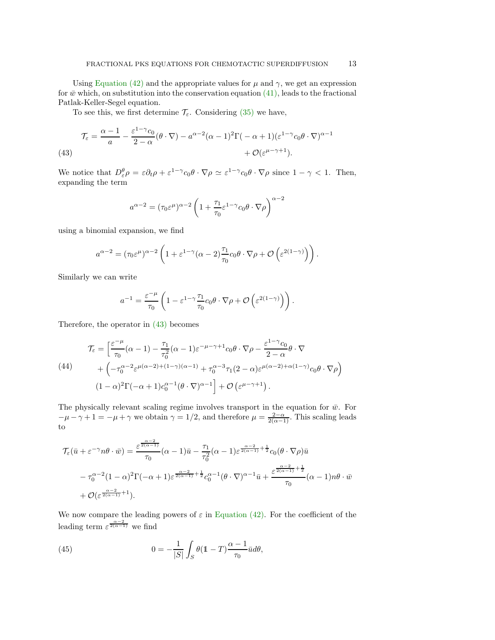Using Equation (42) and the appropriate values for  $\mu$  and  $\gamma$ , we get an expression for  $\bar{w}$  which, on substitution into the conservation equation (41), leads to the fractional Patlak-Keller-Segel equation.

To see this, we first determine  $\mathcal{T}_{\varepsilon}$ . Considering (35) we have,

(43) 
$$
\mathcal{T}_{\varepsilon} = \frac{\alpha - 1}{a} - \frac{\varepsilon^{1 - \gamma} c_0}{2 - \alpha} (\theta \cdot \nabla) - a^{\alpha - 2} (\alpha - 1)^2 \Gamma(-\alpha + 1) (\varepsilon^{1 - \gamma} c_0 \theta \cdot \nabla)^{\alpha - 1} + \mathcal{O}(\varepsilon^{\mu - \gamma + 1}).
$$

We notice that  $D^{\theta}_{\varepsilon} \rho = \varepsilon \partial_t \rho + \varepsilon^{1-\gamma} c_0 \theta \cdot \nabla \rho \simeq \varepsilon^{1-\gamma} c_0 \theta \cdot \nabla \rho$  since  $1 - \gamma < 1$ . Then, expanding the term

$$
a^{\alpha - 2} = (\tau_0 \varepsilon^{\mu})^{\alpha - 2} \left( 1 + \frac{\tau_1}{\tau_0} \varepsilon^{1 - \gamma} c_0 \theta \cdot \nabla \rho \right)^{\alpha - 2}
$$

using a binomial expansion, we find

$$
a^{\alpha-2} = (\tau_0 \varepsilon^{\mu})^{\alpha-2} \left( 1 + \varepsilon^{1-\gamma} (\alpha - 2) \frac{\tau_1}{\tau_0} c_0 \theta \cdot \nabla \rho + \mathcal{O} \left( \varepsilon^{2(1-\gamma)} \right) \right).
$$

Similarly we can write

$$
a^{-1} = \frac{\varepsilon^{-\mu}}{\tau_0} \left( 1 - \varepsilon^{1-\gamma} \frac{\tau_1}{\tau_0} c_0 \theta \cdot \nabla \rho + \mathcal{O} \left( \varepsilon^{2(1-\gamma)} \right) \right).
$$

Therefore, the operator in (43) becomes

(44)  
\n
$$
\mathcal{T}_{\varepsilon} = \left[ \frac{\varepsilon^{-\mu}}{\tau_0} (\alpha - 1) - \frac{\tau_1}{\tau_0^2} (\alpha - 1) \varepsilon^{-\mu - \gamma + 1} c_0 \theta \cdot \nabla \rho - \frac{\varepsilon^{1 - \gamma} c_0}{2 - \alpha} \theta \cdot \nabla + \left( -\tau_0^{\alpha - 2} \varepsilon^{\mu(\alpha - 2) + (1 - \gamma)(\alpha - 1)} + \tau_0^{\alpha - 3} \tau_1 (2 - \alpha) \varepsilon^{\mu(\alpha - 2) + \alpha(1 - \gamma)} c_0 \theta \cdot \nabla \rho \right) \tag{44}
$$
\n
$$
(1 - \alpha)^2 \Gamma(-\alpha + 1) c_0^{\alpha - 1} (\theta \cdot \nabla)^{\alpha - 1} + \mathcal{O} \left( \varepsilon^{\mu - \gamma + 1} \right).
$$

The physically relevant scaling regime involves transport in the equation for  $\bar{w}$ . For  $-\mu - \gamma + 1 = -\mu + \gamma$  we obtain  $\gamma = 1/2$ , and therefore  $\mu = \frac{2-\alpha}{2(\alpha-1)}$ . This scaling leads to

$$
\mathcal{T}_{\varepsilon}(\bar{u} + \varepsilon^{-\gamma} n \theta \cdot \bar{w}) = \frac{\varepsilon^{\frac{\alpha - 2}{2(\alpha - 1)}}}{\tau_0} (\alpha - 1) \bar{u} - \frac{\tau_1}{\tau_0^2} (\alpha - 1) \varepsilon^{\frac{\alpha - 2}{2(\alpha - 1)} + \frac{1}{2}} c_0 (\theta \cdot \nabla \rho) \bar{u}
$$

$$
- \tau_0^{\alpha - 2} (1 - \alpha)^2 \Gamma(-\alpha + 1) \varepsilon^{\frac{\alpha - 2}{2(\alpha - 1)} + \frac{1}{2}} c_0^{\alpha - 1} (\theta \cdot \nabla)^{\alpha - 1} \bar{u} + \frac{\varepsilon^{\frac{\alpha - 2}{2(\alpha - 1)} + \frac{1}{2}}}{\tau_0} (\alpha - 1) n \theta \cdot \bar{w}
$$

$$
+ \mathcal{O}(\varepsilon^{\frac{\alpha - 2}{2(\alpha - 1)} + 1}).
$$

We now compare the leading powers of  $\varepsilon$  in Equation (42). For the coefficient of the leading term  $\varepsilon^{\frac{\alpha-2}{2(\alpha-1)}}$  we find

(45) 
$$
0 = -\frac{1}{|S|} \int_S \theta (1 - T) \frac{\alpha - 1}{\tau_0} \bar{u} d\theta,
$$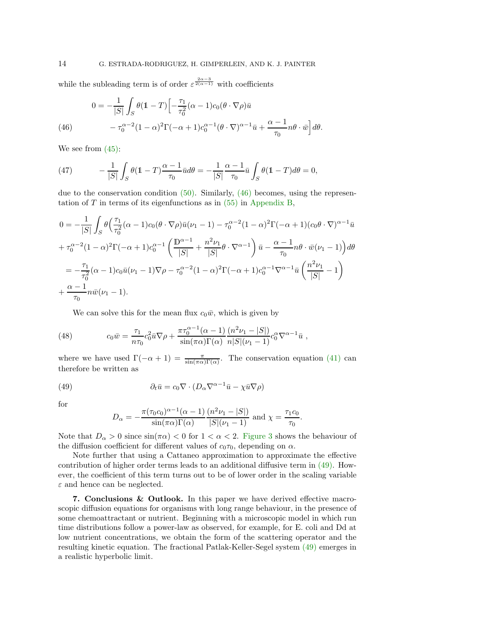while the subleading term is of order  $\varepsilon^{\frac{2\alpha-3}{2(\alpha-1)}}$  with coefficients

(46) 
$$
0 = -\frac{1}{|S|} \int_S \theta (\mathbb{1} - T) \left[ -\frac{\tau_1}{\tau_0^2} (\alpha - 1) c_0 (\theta \cdot \nabla \rho) \bar{u} - \tau_0^{\alpha - 2} (1 - \alpha)^2 \Gamma(-\alpha + 1) c_0^{\alpha - 1} (\theta \cdot \nabla)^{\alpha - 1} \bar{u} + \frac{\alpha - 1}{\tau_0} n \theta \cdot \bar{w} \right] d\theta.
$$

We see from (45):

(47) 
$$
-\frac{1}{|S|}\int_{S}\theta(\mathbb{1}-T)\frac{\alpha-1}{\tau_0}\bar{u}d\theta=-\frac{1}{|S|}\frac{\alpha-1}{\tau_0}\bar{u}\int_{S}\theta(\mathbb{1}-T)d\theta=0,
$$

due to the conservation condition  $(50)$ . Similarly,  $(46)$  becomes, using the representation of T in terms of its eigenfunctions as in  $(55)$  in Appendix B,

$$
0 = -\frac{1}{|S|} \int_{S} \theta \left( \frac{\tau_1}{\tau_0^2} (\alpha - 1) c_0 (\theta \cdot \nabla \rho) \bar{u} (\nu_1 - 1) - \tau_0^{\alpha - 2} (1 - \alpha)^2 \Gamma(-\alpha + 1) (c_0 \theta \cdot \nabla)^{\alpha - 1} \bar{u} \right. \n+ \tau_0^{\alpha - 2} (1 - \alpha)^2 \Gamma(-\alpha + 1) c_0^{\alpha - 1} \left( \frac{\mathbb{D}^{\alpha - 1}}{|S|} + \frac{n^2 \nu_1}{|S|} \theta \cdot \nabla^{\alpha - 1} \right) \bar{u} - \frac{\alpha - 1}{\tau_0} n \theta \cdot \bar{w} (\nu_1 - 1) d\theta \n= -\frac{\tau_1}{\tau_0^2} (\alpha - 1) c_0 \bar{u} (\nu_1 - 1) \nabla \rho - \tau_0^{\alpha - 2} (1 - \alpha)^2 \Gamma(-\alpha + 1) c_0^{\alpha - 1} \nabla^{\alpha - 1} \bar{u} \left( \frac{n^2 \nu_1}{|S|} - 1 \right) \n+ \frac{\alpha - 1}{\tau_0} n \bar{w} (\nu_1 - 1).
$$

We can solve this for the mean flux  $c_0\bar{w}$ , which is given by

(48) 
$$
c_0 \bar{w} = \frac{\tau_1}{n\tau_0} c_0^2 \bar{u} \nabla \rho + \frac{\pi \tau_0^{\alpha - 1} (\alpha - 1)}{\sin(\pi \alpha) \Gamma(\alpha)} \frac{(n^2 \nu_1 - |S|)}{n|S| (\nu_1 - 1)} c_0^{\alpha} \nabla^{\alpha - 1} \bar{u} ,
$$

where we have used  $\Gamma(-\alpha+1) = \frac{\pi}{\sin(\pi\alpha)\Gamma(\alpha)}$ . The conservation equation (41) can therefore be written as

(49) 
$$
\partial_t \bar{u} = c_0 \nabla \cdot (D_\alpha \nabla^{\alpha-1} \bar{u} - \chi \bar{u} \nabla \rho)
$$

for

$$
D_{\alpha} = -\frac{\pi(\tau_0 c_0)^{\alpha - 1}(\alpha - 1)}{\sin(\pi \alpha)\Gamma(\alpha)} \frac{(n^2 \nu_1 - |S|)}{|S|(\nu_1 - 1)} \text{ and } \chi = \frac{\tau_1 c_0}{\tau_0}.
$$

Note that  $D_{\alpha} > 0$  since  $\sin(\pi \alpha) < 0$  for  $1 < \alpha < 2$ . Figure 3 shows the behaviour of the diffusion coefficient for different values of  $c_0\tau_0$ , depending on  $\alpha$ .

Note further that using a Cattaneo approximation to approximate the effective contribution of higher order terms leads to an additional diffusive term in (49). However, the coefficient of this term turns out to be of lower order in the scaling variable  $\varepsilon$  and hence can be neglected.

7. Conclusions & Outlook. In this paper we have derived effective macroscopic diffusion equations for organisms with long range behaviour, in the presence of some chemoattractant or nutrient. Beginning with a microscopic model in which run time distributions follow a power-law as observed, for example, for E. coli and Dd at low nutrient concentrations, we obtain the form of the scattering operator and the resulting kinetic equation. The fractional Patlak-Keller-Segel system (49) emerges in a realistic hyperbolic limit.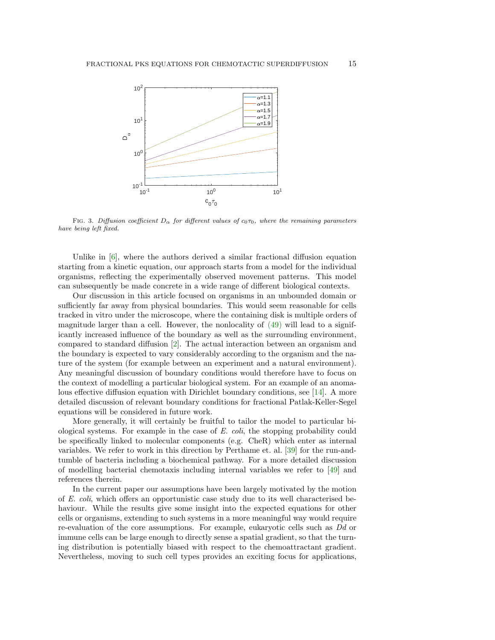

FIG. 3. Diffusion coefficient  $D_{\alpha}$  for different values of  $c_0\tau_0$ , where the remaining parameters have being left fixed.

Unlike in  $[6]$ , where the authors derived a similar fractional diffusion equation starting from a kinetic equation, our approach starts from a model for the individual organisms, reflecting the experimentally observed movement patterns. This model can subsequently be made concrete in a wide range of different biological contexts.

Our discussion in this article focused on organisms in an unbounded domain or sufficiently far away from physical boundaries. This would seem reasonable for cells tracked in vitro under the microscope, where the containing disk is multiple orders of magnitude larger than a cell. However, the nonlocality of (49) will lead to a significantly increased influence of the boundary as well as the surrounding environment, compared to standard diffusion [2]. The actual interaction between an organism and the boundary is expected to vary considerably according to the organism and the nature of the system (for example between an experiment and a natural environment). Any meaningful discussion of boundary conditions would therefore have to focus on the context of modelling a particular biological system. For an example of an anomalous effective diffusion equation with Dirichlet boundary conditions, see [14]. A more detailed discussion of relevant boundary conditions for fractional Patlak-Keller-Segel equations will be considered in future work.

More generally, it will certainly be fruitful to tailor the model to particular biological systems. For example in the case of E. coli, the stopping probability could be specifically linked to molecular components (e.g. CheR) which enter as internal variables. We refer to work in this direction by Perthame et. al. [39] for the run-andtumble of bacteria including a biochemical pathway. For a more detailed discussion of modelling bacterial chemotaxis including internal variables we refer to [49] and references therein.

In the current paper our assumptions have been largely motivated by the motion of E. coli, which offers an opportunistic case study due to its well characterised behaviour. While the results give some insight into the expected equations for other cells or organisms, extending to such systems in a more meaningful way would require re-evaluation of the core assumptions. For example, eukaryotic cells such as Dd or immune cells can be large enough to directly sense a spatial gradient, so that the turning distribution is potentially biased with respect to the chemoattractant gradient. Nevertheless, moving to such cell types provides an exciting focus for applications,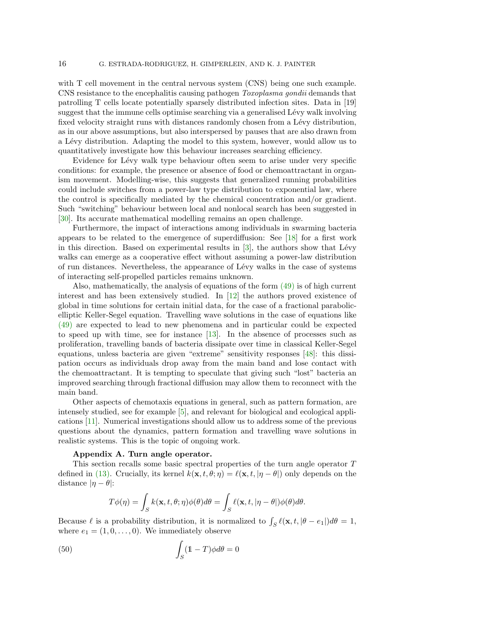with T cell movement in the central nervous system (CNS) being one such example. CNS resistance to the encephalitis causing pathogen Toxoplasma gondii demands that patrolling T cells locate potentially sparsely distributed infection sites. Data in [19] suggest that the immune cells optimise searching via a generalised Lévy walk involving fixed velocity straight runs with distances randomly chosen from a Lévy distribution, as in our above assumptions, but also interspersed by pauses that are also drawn from a Lévy distribution. Adapting the model to this system, however, would allow us to quantitatively investigate how this behaviour increases searching efficiency.

Evidence for Lévy walk type behaviour often seem to arise under very specific conditions: for example, the presence or absence of food or chemoattractant in organism movement. Modelling-wise, this suggests that generalized running probabilities could include switches from a power-law type distribution to exponential law, where the control is specifically mediated by the chemical concentration and/or gradient. Such "switching" behaviour between local and nonlocal search has been suggested in [30]. Its accurate mathematical modelling remains an open challenge.

Furthermore, the impact of interactions among individuals in swarming bacteria appears to be related to the emergence of superdiffusion: See [18] for a first work in this direction. Based on experimental results in  $[3]$ , the authors show that Lévy walks can emerge as a cooperative effect without assuming a power-law distribution of run distances. Nevertheless, the appearance of L´evy walks in the case of systems of interacting self-propelled particles remains unknown.

Also, mathematically, the analysis of equations of the form (49) is of high current interest and has been extensively studied. In [12] the authors proved existence of global in time solutions for certain initial data, for the case of a fractional parabolicelliptic Keller-Segel equation. Travelling wave solutions in the case of equations like (49) are expected to lead to new phenomena and in particular could be expected to speed up with time, see for instance [13]. In the absence of processes such as proliferation, travelling bands of bacteria dissipate over time in classical Keller-Segel equations, unless bacteria are given "extreme" sensitivity responses [48]: this dissipation occurs as individuals drop away from the main band and lose contact with the chemoattractant. It is tempting to speculate that giving such "lost" bacteria an improved searching through fractional diffusion may allow them to reconnect with the main band.

Other aspects of chemotaxis equations in general, such as pattern formation, are intensely studied, see for example [5], and relevant for biological and ecological applications [11]. Numerical investigations should allow us to address some of the previous questions about the dynamics, pattern formation and travelling wave solutions in realistic systems. This is the topic of ongoing work.

### Appendix A. Turn angle operator.

This section recalls some basic spectral properties of the turn angle operator T defined in (13). Crucially, its kernel  $k(\mathbf{x}, t, \theta; \eta) = \ell(\mathbf{x}, t, |\eta - \theta|)$  only depends on the distance  $|\eta - \theta|$ :

$$
T\phi(\eta) = \int_{S} k(\mathbf{x}, t, \theta; \eta) \phi(\theta) d\theta = \int_{S} \ell(\mathbf{x}, t, |\eta - \theta|) \phi(\theta) d\theta.
$$

Because  $\ell$  is a probability distribution, it is normalized to  $\int_{S} \ell(\mathbf{x}, t, |\theta - e_1|) d\theta = 1$ , where  $e_1 = (1, 0, \ldots, 0)$ . We immediately observe

(50) 
$$
\int_{S} (1 - T) \phi d\theta = 0
$$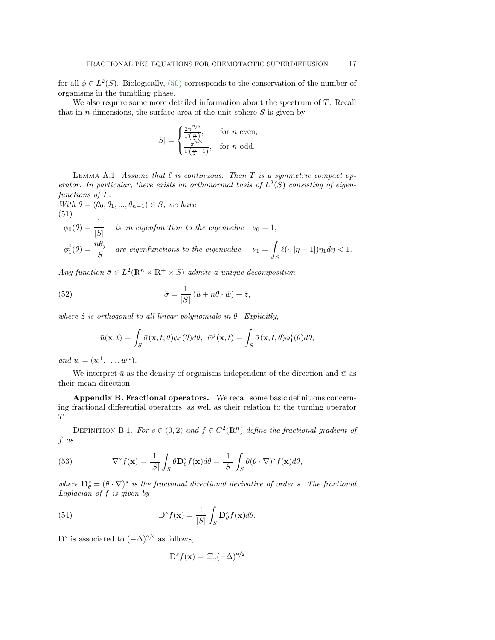for all  $\phi \in L^2(S)$ . Biologically, (50) corresponds to the conservation of the number of organisms in the tumbling phase.

We also require some more detailed information about the spectrum of  $T$ . Recall that in *n*-dimensions, the surface area of the unit sphere  $S$  is given by

$$
|S| = \begin{cases} \frac{2\pi^{n/2}}{\Gamma(\frac{n}{2})}, & \text{for } n \text{ even,} \\ \frac{\pi^{n/2}}{\Gamma(\frac{n}{2}+1)}, & \text{for } n \text{ odd.} \end{cases}
$$

LEMMA A.1. Assume that  $\ell$  is continuous. Then  $T$  is a symmetric compact operator. In particular, there exists an orthonormal basis of  $L^2(S)$  consisting of eigenfunctions of T.

With  $\theta = (\theta_0, \theta_1, ..., \theta_{n-1}) \in S$ , we have (51)

$$
\phi_0(\theta) = \frac{1}{|S|} \quad \text{is an eigenfunction to the eigenvalue} \quad \nu_0 = 1,
$$
\n
$$
\phi_1^j(\theta) = \frac{n\theta_j}{|S|} \quad \text{are eigenfunctions to the eigenvalue} \quad \nu_1 = \int_S \ell(\cdot, |\eta - 1|) \eta_1 d\eta < 1.
$$

Any function  $\bar{\sigma} \in L^2(\mathbb{R}^n \times \mathbb{R}^+ \times S)$  admits a unique decomposition

(52) 
$$
\bar{\sigma} = \frac{1}{|S|} (\bar{u} + n\theta \cdot \bar{w}) + \hat{z},
$$

where  $\hat{z}$  is orthogonal to all linear polynomials in  $\theta$ . Explicitly,

$$
\bar{u}(\mathbf{x},t) = \int_{S} \bar{\sigma}(\mathbf{x},t,\theta)\phi_0(\theta)d\theta, \ \bar{w}^j(\mathbf{x},t) = \int_{S} \bar{\sigma}(\mathbf{x},t,\theta)\phi_1^j(\theta)d\theta,
$$

and  $\bar{w} = (\bar{w}^1, \ldots, \bar{w}^n)$ .

We interpret  $\bar{u}$  as the density of organisms independent of the direction and  $\bar{w}$  as their mean direction.

Appendix B. Fractional operators. We recall some basic definitions concerning fractional differential operators, as well as their relation to the turning operator  $T$ .

DEFINITION B.1. For  $s \in (0,2)$  and  $f \in C^2(\mathbb{R}^n)$  define the fractional gradient of f as

(53) 
$$
\nabla^s f(\mathbf{x}) = \frac{1}{|S|} \int_S \theta \mathbf{D}_{\theta}^s f(\mathbf{x}) d\theta = \frac{1}{|S|} \int_S \theta (\theta \cdot \nabla)^s f(\mathbf{x}) d\theta,
$$

where  $\mathbf{D}_{\theta}^{s} = (\theta \cdot \nabla)^{s}$  is the fractional directional derivative of order s. The fractional Laplacian of f is given by

(54) 
$$
\mathbb{D}^s f(\mathbf{x}) = \frac{1}{|S|} \int_S \mathbf{D}_\theta^s f(\mathbf{x}) d\theta.
$$

 $\mathbb{D}^s$  is associated to  $(-\Delta)^{\alpha/2}$  as follows,

$$
\mathbb{D}^s f(\mathbf{x}) = \Xi_\alpha (-\Delta)^{\alpha/2}
$$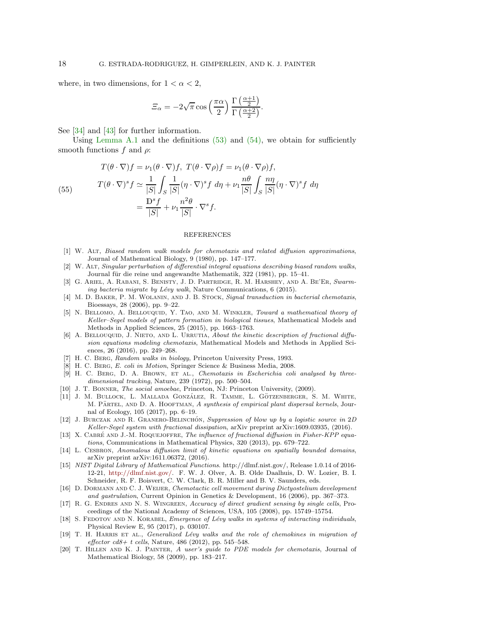where, in two dimensions, for  $1 < \alpha < 2$ ,

$$
\Xi_{\alpha} = -2\sqrt{\pi} \cos\left(\frac{\pi \alpha}{2}\right) \frac{\Gamma\left(\frac{\alpha+1}{2}\right)}{\Gamma\left(\frac{\alpha+2}{2}\right)}.
$$

See [34] and [43] for further information.

Using Lemma A.1 and the definitions  $(53)$  and  $(54)$ , we obtain for sufficiently smooth functions f and  $\rho$ :

(55) 
$$
T(\theta \cdot \nabla)f = \nu_1(\theta \cdot \nabla)f, T(\theta \cdot \nabla \rho)f = \nu_1(\theta \cdot \nabla \rho)f,
$$

$$
T(\theta \cdot \nabla)^s f \simeq \frac{1}{|S|} \int_S \frac{1}{|S|} (\eta \cdot \nabla)^s f \ d\eta + \nu_1 \frac{n\theta}{|S|} \int_S \frac{n\eta}{|S|} (\eta \cdot \nabla)^s f \ d\eta
$$

$$
= \frac{\mathbb{D}^s f}{|S|} + \nu_1 \frac{n^2 \theta}{|S|} \cdot \nabla^s f.
$$

#### REFERENCES

- [1] W. Alt, Biased random walk models for chemotaxis and related diffusion approximations, Journal of Mathematical Biology, 9 (1980), pp. 147–177.
- [2] W. Alt, Singular perturbation of differential integral equations describing biased random walks, Journal für die reine und angewandte Mathematik, 322 (1981), pp. 15-41.
- [3] G. Ariel, A. Rabani, S. Benisty, J. D. Partridge, R. M. Harshey, and A. Be'Er, Swarming bacteria migrate by Lévy walk, Nature Communications,  $6$  (2015).
- [4] M. D. Baker, P. M. Wolanin, and J. B. Stock, Signal transduction in bacterial chemotaxis, Bioessays, 28 (2006), pp. 9–22.
- [5] N. BELLOMO, A. BELLOUQUID, Y. TAO, AND M. WINKLER, Toward a mathematical theory of Keller–Segel models of pattern formation in biological tissues, Mathematical Models and Methods in Applied Sciences, 25 (2015), pp. 1663–1763.
- [6] A. BELLOUQUID, J. NIETO, AND L. URRUTIA, About the kinetic description of fractional diffusion equations modeling chemotaxis, Mathematical Models and Methods in Applied Sciences, 26 (2016), pp. 249–268.
- H. C. BERG, Random walks in biology, Princeton University Press, 1993.
- [8] H. C. Berg, E. coli in Motion, Springer Science & Business Media, 2008.
- [9] H. C. BERG, D. A. BROWN, ET AL., Chemotaxis in Escherichia coli analysed by threedimensional tracking, Nature, 239 (1972), pp. 500–504.
- [10] J. T. Bonner, The social amoebae, Princeton, NJ: Princeton University, (2009).
- [11] J. M. BULLOCK, L. MALLADA GONZÁLEZ, R. TAMME, L. GÖTZENBERGER, S. M. WHITE, M. PÄRTEL, AND D. A. HOOFTMAN, A synthesis of empirical plant dispersal kernels, Journal of Ecology, 105 (2017), pp. 6–19.
- [12] J. BURCZAK AND R. GRANERO-BELINCHÓN, Suppression of blow up by a logistic source in  $2D$ Keller-Segel system with fractional dissipation, arXiv preprint arXiv:1609.03935, (2016).
- [13] X. CABRÉ AND J.-M. ROQUEJOFFRE, The influence of fractional diffusion in Fisher-KPP equations, Communications in Mathematical Physics, 320 (2013), pp. 679–722.
- [14] L. CESBRON, Anomalous diffusion limit of kinetic equations on spatially bounded domains, arXiv preprint arXiv:1611.06372, (2016).
- [15] NIST Digital Library of Mathematical Functions. http://dlmf.nist.gov/, Release 1.0.14 of 2016- 12-21, [http://dlmf.nist.gov/.](http://dlmf.nist.gov/) F. W. J. Olver, A. B. Olde Daalhuis, D. W. Lozier, B. I. Schneider, R. F. Boisvert, C. W. Clark, B. R. Miller and B. V. Saunders, eds.
- [16] D. DORMANN AND C. J. WEIJER, Chemotactic cell movement during Dictyostelium development and gastrulation, Current Opinion in Genetics & Development, 16 (2006), pp. 367–373.
- [17] R. G. Endres and N. S. Wingreen, Accuracy of direct gradient sensing by single cells, Proceedings of the National Academy of Sciences, USA, 105 (2008), pp. 15749–15754.
- [18] S. FEDOTOV AND N. KORABEL, *Emergence of Lévy walks in systems of interacting individuals*, Physical Review E, 95 (2017), p. 030107.
- [19] T. H. HARRIS ET AL., Generalized Lévy walks and the role of chemokines in migration of  $effector c d8+ t cells, Nature, 486 (2012), pp. 545-548.$
- [20] T. Hillen and K. J. Painter, A user's guide to PDE models for chemotaxis, Journal of Mathematical Biology, 58 (2009), pp. 183–217.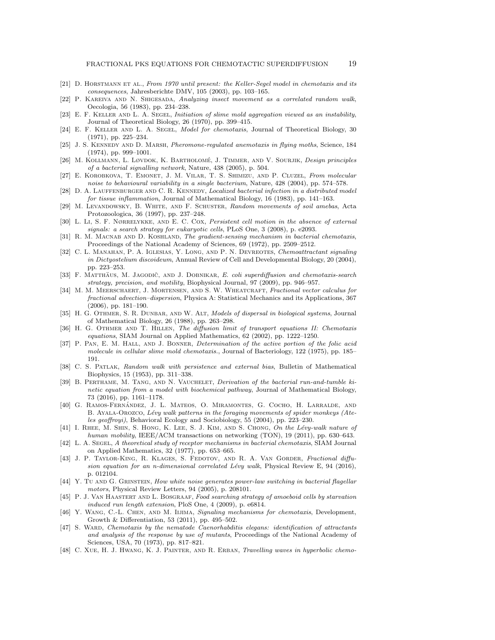- [21] D. HORSTMANN ET AL., From 1970 until present: the Keller-Segel model in chemotaxis and its consequences, Jahresberichte DMV, 105 (2003), pp. 103–165.
- [22] P. KAREIVA AND N. SHIGESADA, Analyzing insect movement as a correlated random walk, Oecologia, 56 (1983), pp. 234–238.
- [23] E. F. Keller and L. A. Segel, Initiation of slime mold aggregation viewed as an instability, Journal of Theoretical Biology, 26 (1970), pp. 399–415.
- [24] E. F. Keller and L. A. Segel, Model for chemotaxis, Journal of Theoretical Biology, 30 (1971), pp. 225–234.
- [25] J. S. KENNEDY AND D. MARSH, Pheromone-regulated anemotaxis in flying moths, Science, 184 (1974), pp. 999–1001.
- [26] M. KOLLMANN, L. LØVDOK, K. BARTHOLOMÉ, J. TIMMER, AND V. SOURJIK, Design principles of a bacterial signalling network, Nature, 438 (2005), p. 504.
- [27] E. KOROBKOVA, T. EMONET, J. M. VILAR, T. S. SHIMIZU, AND P. CLUZEL, From molecular noise to behavioural variability in a single bacterium, Nature, 428 (2004), pp. 574–578.
- [28] D. A. LAUFFENBURGER AND C. R. KENNEDY, Localized bacterial infection in a distributed model for tissue inflammation, Journal of Mathematical Biology, 16 (1983), pp. 141–163.
- [29] M. LEVANDOWSKY, B. WHITE, AND F. SCHUSTER, Random movements of soil amebas, Acta Protozoologica, 36 (1997), pp. 237–248.
- [30] L. Li, S. F. NØRRELYKKE, AND E. C. COX, Persistent cell motion in the absence of external signals: a search strategy for eukaryotic cells, PLoS One, 3 (2008), p. e2093.
- [31] R. M. MACNAB AND D. KOSHLAND, The gradient-sensing mechanism in bacterial chemotaxis, Proceedings of the National Academy of Sciences, 69 (1972), pp. 2509–2512.
- [32] C. L. MANAHAN, P. A. IGLESIAS, Y. LONG, AND P. N. DEVREOTES, Chemoattractant signaling in Dictyostelium discoideum, Annual Review of Cell and Developmental Biology, 20 (2004), pp. 223–253.
- [33] F. MATTHÄUS, M. JAGODIČ, AND J. DOBNIKAR, E. coli superdiffusion and chemotaxis-search strategy, precision, and motility, Biophysical Journal, 97 (2009), pp. 946–957.
- [34] M. M. MEERSCHAERT, J. MORTENSEN, AND S. W. WHEATCRAFT, Fractional vector calculus for fractional advection–dispersion, Physica A: Statistical Mechanics and its Applications, 367 (2006), pp. 181–190.
- [35] H. G. OTHMER, S. R. DUNBAR, AND W. ALT, Models of dispersal in biological systems, Journal of Mathematical Biology, 26 (1988), pp. 263–298.
- [36] H. G. OTHMER AND T. HILLEN, The diffusion limit of transport equations II: Chemotaxis equations, SIAM Journal on Applied Mathematics, 62 (2002), pp. 1222–1250.
- [37] P. PAN, E. M. HALL, AND J. BONNER, *Determination of the active portion of the folic acid* molecule in cellular slime mold chemotaxis., Journal of Bacteriology, 122 (1975), pp. 185– 191.
- [38] C. S. Patlak, Random walk with persistence and external bias, Bulletin of Mathematical Biophysics, 15 (1953), pp. 311–338.
- [39] B. PERTHAME, M. TANG, AND N. VAUCHELET, Derivation of the bacterial run-and-tumble kinetic equation from a model with biochemical pathway, Journal of Mathematical Biology, 73 (2016), pp. 1161–1178.
- [40] G. RAMOS-FERNÁNDEZ, J. L. MATEOS, O. MIRAMONTES, G. COCHO, H. LARRALDE, AND B. AYALA-OROZCO, Lévy walk patterns in the foraging movements of spider monkeys (Ateles geoffroyi), Behavioral Ecology and Sociobiology, 55 (2004), pp. 223–230.
- [41] I. RHEE, M. SHIN, S. HONG, K. LEE, S. J. KIM, AND S. CHONG, On the Lévy-walk nature of human mobility, IEEE/ACM transactions on networking (TON), 19 (2011), pp. 630–643.
- [42] L. A. SEGEL, A theoretical study of receptor mechanisms in bacterial chemotaxis, SIAM Journal on Applied Mathematics, 32 (1977), pp. 653–665.
- [43] J. P. Taylor-King, R. Klages, S. Fedotov, and R. A. Van Gorder, Fractional diffusion equation for an n-dimensional correlated Lévy walk, Physical Review E, 94 (2016), p. 012104.
- [44] Y. TU AND G. GRINSTEIN, How white noise generates power-law switching in bacterial flagellar motors, Physical Review Letters, 94 (2005), p. 208101.
- [45] P. J. VAN HAASTERT AND L. BOSGRAAF, Food searching strategy of amoeboid cells by starvation induced run length extension, PloS One, 4 (2009), p. e6814.
- [46] Y. Wang, C.-L. Chen, and M. Iijima, Signaling mechanisms for chemotaxis, Development, Growth & Differentiation, 53 (2011), pp. 495–502.
- [47] S. WARD, Chemotaxis by the nematode Caenorhabditis elegans: identification of attractants and analysis of the response by use of mutants, Proceedings of the National Academy of Sciences, USA, 70 (1973), pp. 817–821.
- [48] C. XUE, H. J. HWANG, K. J. PAINTER, AND R. ERBAN, Travelling waves in hyperbolic chemo-